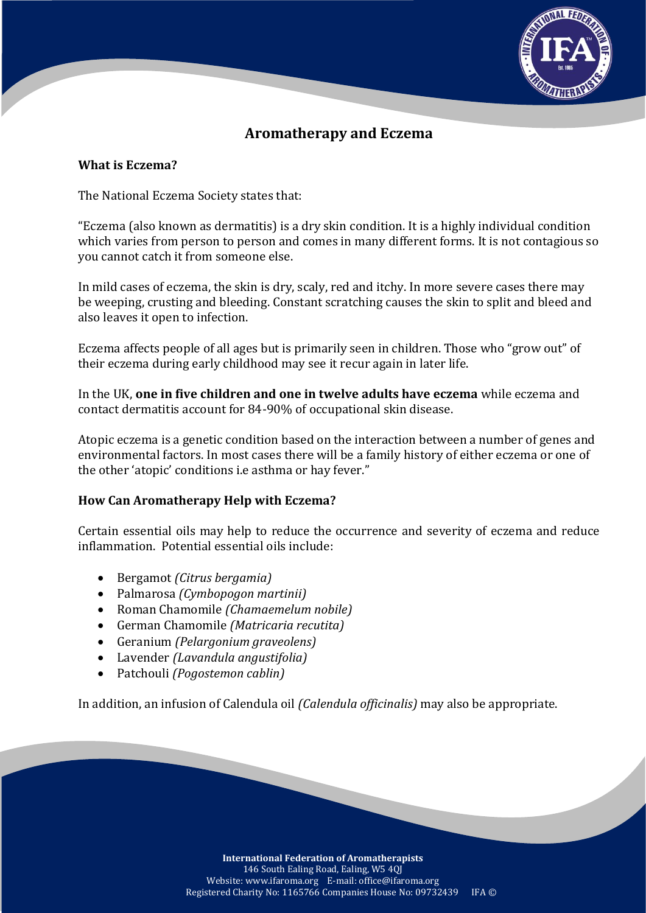

## **Aromatherapy and Eczema**

## **What is Eczema?**

The National Eczema Society states that:

"Eczema (also known as dermatitis) is a dry skin condition. It is a highly individual condition which varies from person to person and comes in many different forms. It is not contagious so you cannot catch it from someone else.

In mild cases of eczema, the skin is dry, scaly, red and itchy. In more severe cases there may be weeping, crusting and bleeding. Constant scratching causes the skin to split and bleed and also leaves it open to infection.

Eczema affects people of all ages but is primarily seen in children. Those who "grow out" of their eczema during early childhood may see it recur again in later life.

In the UK, **one in five children and one in twelve adults have eczema** while eczema and contact dermatitis account for 84-90% of occupational skin disease.

Atopic eczema is a genetic condition based on the interaction between a number of genes and environmental factors. In most cases there will be a family history of either eczema or one of the other 'atopic' conditions i.e asthma or hay fever."

## **How Can Aromatherapy Help with Eczema?**

Certain essential oils may help to reduce the occurrence and severity of eczema and reduce inflammation. Potential essential oils include:

- Bergamot *(Citrus bergamia)*
- Palmarosa *(Cymbopogon martinii)*
- Roman Chamomile *(Chamaemelum nobile)*
- German Chamomile *(Matricaria recutita)*
- Geranium *(Pelargonium graveolens)*
- Lavender *(Lavandula angustifolia)*
- Patchouli *(Pogostemon cablin)*

In addition, an infusion of Calendula oil *(Calendula officinalis)* may also be appropriate.

**International Federation of Aromatherapists** 146 South Ealing Road, Ealing, W5 4QJ Website: www.ifaroma.org E-mail: office@ifaroma.org Registered Charity No: 1165766 Companies House No: 09732439 IFA ©